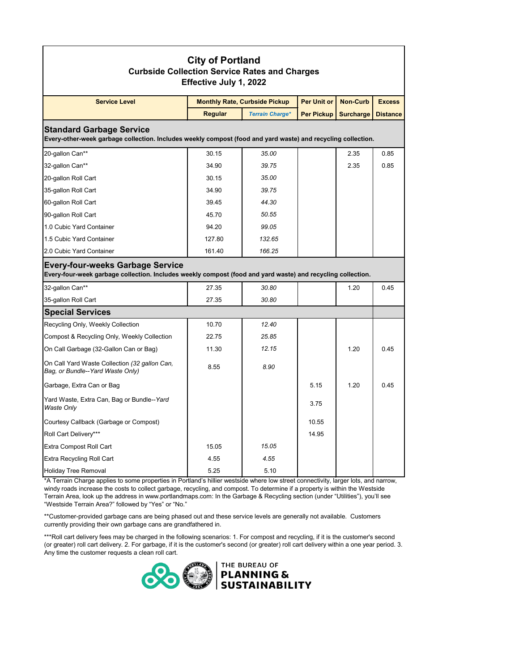| <b>City of Portland</b><br><b>Curbside Collection Service Rates and Charges</b><br>Effective July 1, 2022                                              |                |                                      |                    |                  |                 |
|--------------------------------------------------------------------------------------------------------------------------------------------------------|----------------|--------------------------------------|--------------------|------------------|-----------------|
| <b>Service Level</b>                                                                                                                                   |                | <b>Monthly Rate, Curbside Pickup</b> | <b>Per Unit or</b> | <b>Non-Curb</b>  | <b>Excess</b>   |
|                                                                                                                                                        | <b>Regular</b> | <b>Terrain Charge*</b>               | <b>Per Pickup</b>  | <b>Surcharge</b> | <b>Distance</b> |
| <b>Standard Garbage Service</b><br>Every-other-week garbage collection. Includes weekly compost (food and yard waste) and recycling collection.        |                |                                      |                    |                  |                 |
| 20-gallon Can**                                                                                                                                        | 30.15          | 35.00                                |                    | 2.35             | 0.85            |
| 32-gallon Can**                                                                                                                                        | 34.90          | 39.75                                |                    | 2.35             | 0.85            |
| 20-gallon Roll Cart                                                                                                                                    | 30.15          | 35.00                                |                    |                  |                 |
| 35-gallon Roll Cart                                                                                                                                    | 34.90          | 39.75                                |                    |                  |                 |
| 60-gallon Roll Cart                                                                                                                                    | 39.45          | 44.30                                |                    |                  |                 |
| 90-gallon Roll Cart                                                                                                                                    | 45.70          | 50.55                                |                    |                  |                 |
| 1.0 Cubic Yard Container                                                                                                                               | 94.20          | 99.05                                |                    |                  |                 |
| 1.5 Cubic Yard Container                                                                                                                               | 127.80         | 132.65                               |                    |                  |                 |
| 2.0 Cubic Yard Container                                                                                                                               | 161.40         | 166.25                               |                    |                  |                 |
| <b>Every-four-weeks Garbage Service</b><br>Every-four-week garbage collection. Includes weekly compost (food and yard waste) and recycling collection. |                |                                      |                    |                  |                 |
| 32-gallon Can**                                                                                                                                        | 27.35          | 30.80                                |                    | 1.20             | 0.45            |
| 35-gallon Roll Cart                                                                                                                                    | 27.35          | 30.80                                |                    |                  |                 |
| <b>Special Services</b>                                                                                                                                |                |                                      |                    |                  |                 |
| Recycling Only, Weekly Collection                                                                                                                      | 10.70          | 12.40                                |                    |                  |                 |
| Compost & Recycling Only, Weekly Collection                                                                                                            | 22.75          | 25.85                                |                    |                  |                 |
| On Call Garbage (32-Gallon Can or Bag)                                                                                                                 | 11.30          | 12.15                                |                    | 1.20             | 0.45            |
| On Call Yard Waste Collection (32 gallon Can,<br>Bag, or Bundle--Yard Waste Only)                                                                      | 8.55           | 8.90                                 |                    |                  |                 |
| Garbage, Extra Can or Bag                                                                                                                              |                |                                      | 5.15               | 1.20             | 0.45            |
| Yard Waste, Extra Can, Bag or Bundle--Yard<br>Waste Only                                                                                               |                |                                      | 3.75               |                  |                 |
| Courtesy Callback (Garbage or Compost)                                                                                                                 |                |                                      | 10.55              |                  |                 |
| Roll Cart Delivery***                                                                                                                                  |                |                                      | 14.95              |                  |                 |
| Extra Compost Roll Cart                                                                                                                                | 15.05          | 15.05                                |                    |                  |                 |
| Extra Recycling Roll Cart                                                                                                                              | 4.55           | 4.55                                 |                    |                  |                 |
| <b>Holiday Tree Removal</b>                                                                                                                            | 5.25           | 5.10                                 |                    |                  |                 |

\*A Terrain Charge applies to some properties in Portland's hillier westside where low street connectivity, larger lots, and narrow, windy roads increase the costs to collect garbage, recycling, and compost. To determine if a property is within the Westside Terrain Area, look up the address in www.portlandmaps.com: In the Garbage & Recycling section (under "Utilities"), you'll see "Westside Terrain Area?" followed by "Yes" or "No."

\*\*Customer-provided garbage cans are being phased out and these service levels are generally not available. Customers currently providing their own garbage cans are grandfathered in.

\*\*\*Roll cart delivery fees may be charged in the following scenarios: 1. For compost and recycling, if it is the customer's second (or greater) roll cart delivery. 2. For garbage, if it is the customer's second (or greater) roll cart delivery within a one year period. 3. Any time the customer requests a clean roll cart.

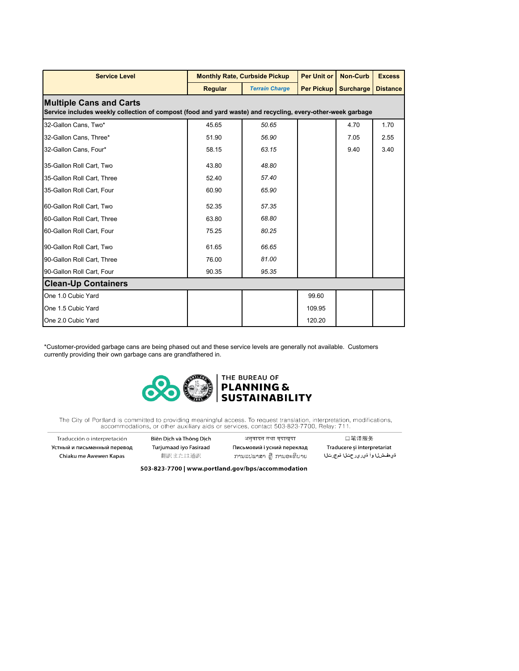| <b>Service Level</b>                                                                                        | <b>Monthly Rate, Curbside Pickup</b> |                       | <b>Per Unit or</b> | <b>Non-Curb</b>  | <b>Excess</b>   |
|-------------------------------------------------------------------------------------------------------------|--------------------------------------|-----------------------|--------------------|------------------|-----------------|
|                                                                                                             | <b>Regular</b>                       | <b>Terrain Charge</b> | <b>Per Pickup</b>  | <b>Surcharge</b> | <b>Distance</b> |
| <b>Multiple Cans and Carts</b>                                                                              |                                      |                       |                    |                  |                 |
| Service includes weekly collection of compost (food and yard waste) and recycling, every-other-week garbage |                                      |                       |                    |                  |                 |
| 32-Gallon Cans, Two*                                                                                        | 45.65                                | 50.65                 |                    | 4.70             | 1.70            |
| 32-Gallon Cans, Three*                                                                                      | 51.90                                | 56.90                 |                    | 7.05             | 2.55            |
| 32-Gallon Cans, Four*                                                                                       | 58.15                                | 63.15                 |                    | 9.40             | 3.40            |
| 35-Gallon Roll Cart, Two                                                                                    | 43.80                                | 48.80                 |                    |                  |                 |
| 35-Gallon Roll Cart, Three                                                                                  | 52.40                                | 57.40                 |                    |                  |                 |
| 35-Gallon Roll Cart, Four                                                                                   | 60.90                                | 65.90                 |                    |                  |                 |
| 60-Gallon Roll Cart, Two                                                                                    | 52.35                                | 57.35                 |                    |                  |                 |
| 60-Gallon Roll Cart, Three                                                                                  | 63.80                                | 68.80                 |                    |                  |                 |
| 60-Gallon Roll Cart, Four                                                                                   | 75.25                                | 80.25                 |                    |                  |                 |
| 90-Gallon Roll Cart, Two                                                                                    | 61.65                                | 66.65                 |                    |                  |                 |
| 90-Gallon Roll Cart, Three                                                                                  | 76.00                                | 81.00                 |                    |                  |                 |
| 90-Gallon Roll Cart, Four                                                                                   | 90.35                                | 95.35                 |                    |                  |                 |
| <b>Clean-Up Containers</b>                                                                                  |                                      |                       |                    |                  |                 |
| One 1.0 Cubic Yard                                                                                          |                                      |                       | 99.60              |                  |                 |
| One 1.5 Cubic Yard                                                                                          |                                      |                       | 109.95             |                  |                 |
| One 2.0 Cubic Yard                                                                                          |                                      |                       | 120.20             |                  |                 |

\*Customer-provided garbage cans are being phased out and these service levels are generally not available. Customers currently providing their own garbage cans are grandfathered in.



# THE BUREAU OF<br>**PLANNING &<br>SUSTAINABILITY**

The City of Portland is committed to providing meaningful access. To request translation, interpretation, modifications, accommodations, or other auxiliary aids or services, contact 503-823-7700, Relay: 711.

Traducción o interpretación Устный и письменный перевод Chiaku me Awewen Kapas

Biên Dịch và Thông Dịch Turjumaad iyo Fasiraad 翻訳または通訳

अनुवादन तथा व्याख्या Письмовий і усний переклад

ການແປພາສາ ຫຼື ການອະທິບາຍ

口笔译服务

Traducere și interpretariat ةي هفشل! وأ ةي ري رحتل! قمج رتل!

503-823-7700 | www.portland.gov/bps/accommodation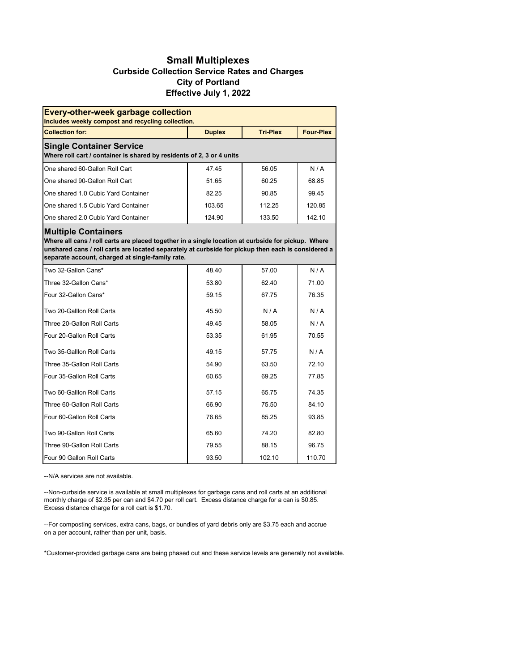## **Curbside Collection Service Rates and Charges Small Multiplexes City of Portland Effective July 1, 2022**

| <b>Every-other-week garbage collection</b><br>Includes weekly compost and recycling collection.                                                                                                                                                                                            |               |                 |                  |  |  |
|--------------------------------------------------------------------------------------------------------------------------------------------------------------------------------------------------------------------------------------------------------------------------------------------|---------------|-----------------|------------------|--|--|
| <b>Collection for:</b>                                                                                                                                                                                                                                                                     | <b>Duplex</b> | <b>Tri-Plex</b> | <b>Four-Plex</b> |  |  |
| <b>Single Container Service</b><br>Where roll cart / container is shared by residents of 2, 3 or 4 units                                                                                                                                                                                   |               |                 |                  |  |  |
| One shared 60-Gallon Roll Cart                                                                                                                                                                                                                                                             | 47.45         | 56.05           | N/A              |  |  |
| One shared 90-Gallon Roll Cart                                                                                                                                                                                                                                                             | 51.65         | 60.25           | 68.85            |  |  |
| One shared 1.0 Cubic Yard Container                                                                                                                                                                                                                                                        | 82.25         | 90.85           | 99.45            |  |  |
| One shared 1.5 Cubic Yard Container                                                                                                                                                                                                                                                        | 103.65        | 112.25          | 120.85           |  |  |
| One shared 2.0 Cubic Yard Container                                                                                                                                                                                                                                                        | 124.90        | 133.50          | 142.10           |  |  |
| <b>Multiple Containers</b><br>Where all cans / roll carts are placed together in a single location at curbside for pickup. Where<br>unshared cans / roll carts are located separately at curbside for pickup then each is considered a<br>separate account, charged at single-family rate. |               |                 |                  |  |  |
| Two 32-Gallon Cans*                                                                                                                                                                                                                                                                        | 48.40         | 57.00           | N/A              |  |  |
| Three 32-Gallon Cans*                                                                                                                                                                                                                                                                      | 53.80         | 62.40           | 71.00            |  |  |
| Four 32-Gallon Cans*                                                                                                                                                                                                                                                                       | 59.15         | 67.75           | 76.35            |  |  |
| Two 20-Galllon Roll Carts                                                                                                                                                                                                                                                                  | 45.50         | N/A             | N/A              |  |  |
| Three 20-Gallon Roll Carts                                                                                                                                                                                                                                                                 | 49.45         | 58.05           | N/A              |  |  |
| Four 20-Gallon Roll Carts                                                                                                                                                                                                                                                                  | 53.35         | 61.95           | 70.55            |  |  |
| Two 35-Galllon Roll Carts                                                                                                                                                                                                                                                                  | 49.15         | 57.75           | N/A              |  |  |
| Three 35-Gallon Roll Carts                                                                                                                                                                                                                                                                 | 54.90         | 63.50           | 72.10            |  |  |
| Four 35-Gallon Roll Carts                                                                                                                                                                                                                                                                  | 60.65         | 69.25           | 77.85            |  |  |
| Two 60-Galllon Roll Carts                                                                                                                                                                                                                                                                  | 57.15         | 65.75           | 74.35            |  |  |
| Three 60-Gallon Roll Carts                                                                                                                                                                                                                                                                 | 66.90         | 75.50           | 84.10            |  |  |
| Four 60-Gallon Roll Carts                                                                                                                                                                                                                                                                  | 76.65         | 85.25           | 93.85            |  |  |
| Two 90-Gallon Roll Carts                                                                                                                                                                                                                                                                   | 65.60         | 74.20           | 82.80            |  |  |
| Three 90-Gallon Roll Carts                                                                                                                                                                                                                                                                 | 79.55         | 88.15           | 96.75            |  |  |
| Four 90 Gallon Roll Carts                                                                                                                                                                                                                                                                  | 93.50         | 102.10          | 110.70           |  |  |

--N/A services are not available.

--Non-curbside service is available at small multiplexes for garbage cans and roll carts at an additional monthly charge of \$2.35 per can and \$4.70 per roll cart. Excess distance charge for a can is \$0.85. Excess distance charge for a roll cart is \$1.70.

--For composting services, extra cans, bags, or bundles of yard debris only are \$3.75 each and accrue on a per account, rather than per unit, basis.

\*Customer-provided garbage cans are being phased out and these service levels are generally not available.